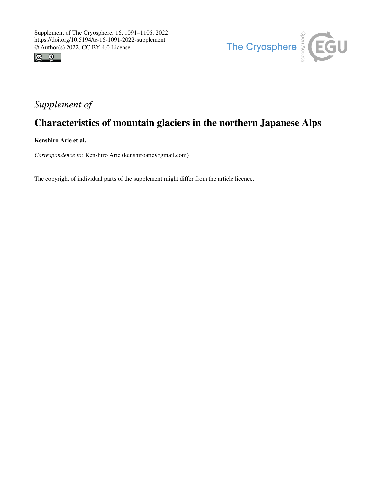



## *Supplement of*

## Characteristics of mountain glaciers in the northern Japanese Alps

Kenshiro Arie et al.

*Correspondence to:* Kenshiro Arie (kenshiroarie@gmail.com)

The copyright of individual parts of the supplement might differ from the article licence.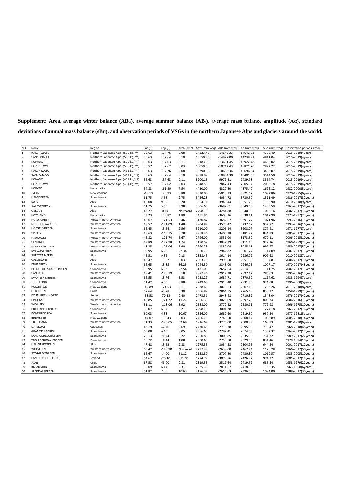| Supplement: Area, average winter balance (AB <sub>w</sub> ), average summer balance (AB <sub>s</sub> ), average mass balance amplitude (Aa), standard |  |  |  |  |  |  |  |  |
|-------------------------------------------------------------------------------------------------------------------------------------------------------|--|--|--|--|--|--|--|--|
| deviations of annual mass balance (sBn), and observation periods of VSGs in the northern Japanese Alps and glaciers around the world.                 |  |  |  |  |  |  |  |  |

| NO.            | Name                   | Region                                          | Lat $(°)$ | Log $(°)$ | Area (km <sup>2</sup> ) | Abw (mm weq) ABs (mm weq) |             | Aa (mm weq) | SBn (mm weg) | Observation periods (Year) |
|----------------|------------------------|-------------------------------------------------|-----------|-----------|-------------------------|---------------------------|-------------|-------------|--------------|----------------------------|
| $\,1\,$        | KAKUNEZATO             | Northern Japanese Alps (590 kg/m <sup>3</sup> ) | 36.63     | 137.76    | 0.08                    | 14223.43                  | $-14642.33$ | 14642.33    | 4706.40      | 2015-2019(4years)          |
| $\overline{2}$ | SANNOMADO              | Northern Japanese Alps (590 kg/m <sup>3</sup> ) | 36.63     | 137.64    | 0.10                    | 13550.83                  | $-14927.00$ | 14238.91    | 4811.04      | 2015-2019(4years)          |
| 3              | <b>KOMADO</b>          | Northern Japanese Alps (590 kg/m <sup>3</sup> ) | 36.63     | 137.63    | 0.11                    | 12183.50                  | $-13661.45$ | 12922.48    | 4606.02      | 2015-2019(4years)          |
| $\overline{4}$ | GOZENZAWA              | Northern Japanese Alps (590 kg/m <sup>3</sup> ) | 36.57     | 137.62    | 0.03                    | 10059.50                  | $-10742.43$ | 10821.70    | 2872.22      | 2015-2019(4years)          |
| 5              | KAKUNEZATO             | Northern Japanese Alps (431 kg/m <sup>3</sup> ) | 36.63     | 137.76    | 0.08                    | 10390.33                  | $-10696.34$ | 10696.34    | 3438.07      | 2015-2019(4years)          |
| 6              | SANNOMADO              | Northern Japanese Alps (431 kg/m <sup>3</sup> ) | 36.63     | 137.64    | 0.10                    | 9898.99                   | $-10904.30$ | 10401.65    | 3514.50      | 2015-2019(4years)          |
| $\overline{7}$ | <b>KOMADO</b>          | Northern Japanese Alps (431 kg/m <sup>3</sup> ) | 36.63     | 137.63    | 0.11                    | 8900.15                   | $-9979.81$  | 9439.98     | 3364.74      | 2015-2019(4years)          |
| 8              | GOZENZAWA              | Northern Japanese Alps (431 kg/m <sup>3</sup> ) | 36.57     | 137.62    | 0.03                    | 7348.55                   | $-7847.43$  | 7905.34     | 2098.18      | 2015-2019(4years)          |
| 9              | <b>KORYTO</b>          | Kamchatka                                       | 54.83     | 161.80    | 7.54                    | 4430.00                   | $-4320.80$  | 4375.40     | 1696.12      | 1982-2000(5years)          |
| 10             | <b>IVORY</b>           | New Zealand                                     | $-43.13$  | 170.93    | 0.80                    | 2630.00                   | $-5013.33$  | 3821.67     | 1092.86      | 1970-1975(6years)          |
| 11             | HANSEBREEN             | Scandinavia                                     | 61.75     | 5.68      | 2.75                    | 3426.28                   | $-4034.72$  | 3730.50     | 1511.49      | 1986-2017(32years)         |
| 12             | LUPO                   | Alps                                            | 46.08     | 9.99      | 0.20                    | 3354.11                   | $-3948.44$  | 3651.28     | 1108.90      | 2010-2018(9years)          |
| 13             | AALFOTBREEN            | Scandinavia                                     | 61.75     | 5.65      | 3.98                    | 3606.65                   | $-3692.61$  | 3649.63     | 1436.59      | 1963-2017(54years)         |
| 14             | OSSOUE                 | Alps                                            | 42.77     | $-0.14$   | No record               | 2798.13                   | $-4281.88$  | 3540.00     | 1056.16      | 2002-2017(16years)         |
| 15             | KOZELSKIY              | Kamchatka                                       | 53.23     | 158.82    | 1.80                    | 3451.96                   | $-3608.26$  | 3530.11     | 1017.90      | 1973-1997(23years)         |
| 16             | <b>NOISY CREEK</b>     | Western north America                           | 48.67     | $-121.53$ | 0.46                    | 3130.87                   | $-3652.67$  | 3391.77     | 1071.96      | 1993-2016(15years)         |
| 17             | NORTH KLAWATTI         | Western north America                           | 48.57     | $-121.09$ | 1.48                    | 2904.87                   | $-3570.47$  | 3237.67     | 937.77       | 1993-2016(16years)         |
| 18             | <b>HOEGTUVBREEN</b>    | Scandinavia                                     | 66.45     | 13.64     | 2.56                    | 3210.00                   | $-3206.14$  | 3208.07     | 877.41       | 1971-1977(7years)          |
| 19             | <b>SPERRY</b>          | Western north America                           | 48.63     | $-113.75$ | 0.78                    | 2958.46                   | $-3405.38$  | 3181.92     | 844.93       | 2005-2017(13years)         |
| 20             | NISQUALLY              | Western north America                           | 46.82     | $-121.74$ | 6.67                    | 2796.00                   | $-3551.00$  | 3173.50     | 670.11       | 2006-2015(10years)         |
| 21             | SENTINEL               | Western north America                           | 49.89     | $-122.98$ | 1.74                    | 3180.52                   | $-3042.39$  | 3111.46     | 922.16       | 1966-1989(23years)         |
| 22             | SOUTH CASCADE          | Western north America                           | 48.35     | $-121.06$ | 1.90                    | 2790.23                   | $-3380.04$  | 3085.13     | 999.97       | 1959-2017(57years)         |
| 23             | SVELGJABREEN           | Scandinavia                                     | 59.95     | 6.28      | 22.34                   | 3060.73                   | $-2942.82$  | 3001.77     | 1114.09      | 2007-2017(11years)         |
| 24             | SURETTA MERID.         | Alps                                            | 46.51     | 9.36      | 0.13                    | 2358.43                   | $-3614.14$  | 2986.29     | 909.68       | 2010-2018(7years)          |
| 25             | CALDERONE              | Alps                                            | 42.47     | 13.57     | 0.03                    | 2903.75                   | $-2999.50$  | 2951.63     | 1187.81      | 2006-2017(10years)         |
| 26             | <b>ENGABREEN</b>       | Scandinavia                                     | 66.65     | 13.85     | 36.25                   | 3044.50                   | $-2848.00$  | 2946.25     | 1007.17      | 1970-2017(48years)         |
| 27             | BLOMSTOELSKARDSBREEN   | Scandinavia                                     | 59.95     | 6.33      | 22.54                   | 3171.09                   | $-2657.64$  | 2914.36     | 1141.75      | 2007-2017(11years)         |
| 28             | SANDALEE               | Western north America                           | 48.41     | $-120.79$ | 0.18                    | 2877.46                   | $-2917.38$  | 2897.42     | 786.63       | 1995-2016(13years)         |
| 29             | SVARTISHEIBREEN        | Scandinavia                                     | 66.55     | 13.76     | 5.53                    | 3053.29                   | $-2687.71$  | 2870.50     | 1114.62      | 1988-1994(7years)          |
| 30             | <b>JOSTEFONN</b>       | Scandinavia                                     | 61.42     | 6.55      | 3.88                    | 2749.60                   | $-2913.40$  | 2831.50     | 924.08       | 1996-2000(5years)          |
| 31             | <b>ROLLESTON</b>       | New Zealand                                     | $-42.89$  | 171.53    | 0.11                    | 2538.63                   | $-3075.63$  | 2807.13     | 1203.26      | 2011-2018(8years)          |
| 32             | <b>OBRUCHEV</b>        | Urals                                           | 67.64     | 65.78     | 0.30                    | 2666.82                   | $-2864.55$  | 2765.68     | 838.37       | 1958-1979(23years)         |
| 33             | <b>ECHAURREN NORTE</b> | Andes                                           | $-33.58$  | $-70.13$  | 0.40                    | 2473.31                   | $-2948.48$  | 2710.89     | 1548.04      | 1976-2017(42years)         |
| 34             | <b>EMMONS</b>          | Western north America                           | 46.85     | $-121.72$ | 11.27                   | 2366.36                   | $-3029.09$  | 2697.73     | 803.34       | 2006-2016(11years)         |
| 35             | WOOLSEY                | Western north America                           | 51.11     | $-118.06$ | 3.92                    | 2588.00                   | $-2772.22$  | 2680.11     | 779.98       | 1966-1975(10years)         |
| 36             | BREIDABLIKKBREA        | Scandinavia                                     | 60.07     | 6.37      | 3.21                    | 2298.75                   | $-3004.38$  | 2651.56     | 1274.18      | 1963-2012(16years)         |
| 37             | <b>BONDHUSBREA</b>     | Scandinavia                                     | 60.03     | 6.33      | 10.67                   | 2556.00                   | $-2682.60$  | 2619.30     | 937.54       | 1977-1981(5years)          |
| 38             | <b>BREWSTER</b>        | New Zealand                                     | $-44.07$  | 169.43    | 2.03                    | 2466.79                   | $-2749.50$  | 2608.14     | 1086.89      | 2005-2018(14years)         |
| 39             | TIEDEMANN              | Western north America                           | 51.33     | $-125.05$ | 62.69                   | 1926.67                   | $-3275.00$  | 2600.83     | 168.93       | 1981-1990(6years)          |
| 40             | <b>DJANKUAT</b>        | Caucasus                                        | 43.19     | 42.76     | 2.69                    | 2470.63                   | $-2719.38$  | 2595.00     | 715.47       | 1968-2018(48years)         |
| 41             | <b>GRAAFJELLSBREA</b>  | Scandinavia                                     | 60.08     | 6.40      | 8.05                    | 2356.65                   | $-2792.41$  | 2574.53     | 1302.32      | 1964-2012(17years)         |
| 42             | LANGFJORDJOEKELEN      | Scandinavia                                     | 70.13     | 21.74     | 3.22                    | 2060.85                   | $-3009.85$  | 2535.35     | 734.32       | 1989-2017(27years)         |
| 43             | TROLLBERGDALSBREEN     | Scandinavia                                     | 66.72     | 14.44     | 1.80                    | 2308.60                   | $-2750.50$  | 2529.55     | 831.46       | 1970-1994(10years)         |
| 44             | HALLSTAETTER G.        | Alps                                            | 47.48     | 13.62     | 2.83                    | 1975.33                   | $-3034.58$  | 2504.96     | 644.54       | 2001-2017(12years)         |
| 45             | WOLVERINE              | Western north America                           | 60.42     | $-148.90$ | No record               | 2297.48                   | $-2638.00$  | 2467.74     | 1126.28      | 1966-2017(50years)         |
| 46             | STORGLOMBREEN          | Scandinavia                                     | 66.67     | 14.00     | 61.12                   | 2153.80                   | $-2707.80$  | 2430.80     | 1010.57      | 1985-2005(10years)         |
| 47             | LANGJOKULL ICE CAP     | Iceland                                         | 64.67     | $-20.10$  | 871.00                  | 1774.79                   | $-3078.86$  | 2426.82     | 971.37       | 2001-2017(14years)         |
| 48             | IGAN                   | Urals                                           | 67.58     | 66.00     | 0.81                    | 2319.55                   | $-2519.64$  | 2419.59     | 685.54       | 1958-1979(22years)         |
| 49             | <b>BLAABREEN</b>       | Scandinavia                                     | 60.09     | 6.44      | 2.31                    | 2025.33                   | $-2811.67$  | 2418.50     | 1186.35      | 1963-1968(6years)          |
| 50             | AUSTDALSBREEN          | Scandinavia                                     | 61.82     | 7.35      | 10.63                   | 2176.37                   | $-2616.63$  | 2396.50     | 1094.00      | 1988-2017(30years)         |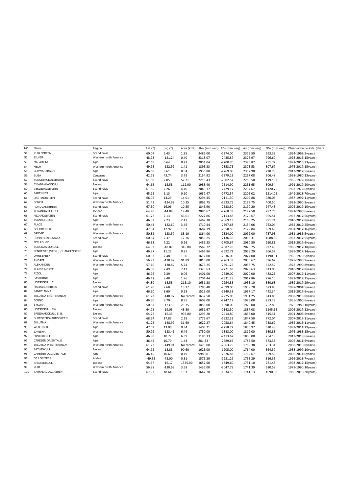| NO. | Name                           | Region                | Lat $(°)$ | Log $(°)$ | Area (km <sup>2</sup> ) | Abw (mm weg) ABs (mm weg) |            | Aa (mm weg) | SBn (mm weg) | Observation periods (Year) |
|-----|--------------------------------|-----------------------|-----------|-----------|-------------------------|---------------------------|------------|-------------|--------------|----------------------------|
| 51  | <b>RUKLEBREEN</b>              | Scandinavia           | 60.07     | 6.43      | 1.85                    | 2485.00                   | $-2274.00$ | 2379.50     | 993.33       | 1964-1968(5years)          |
| 52  | <b>SILVER</b>                  | Western north America | 48.98     | $-121.24$ | 0.40                    | 2318.07                   | $-2435.87$ | 2376.97     | 796.60       | 1993-2016(15years)         |
| 53  | MALADETA                       | Alps                  | 42.65     | 0.64      | 0.23                    | 2051.04                   | $-2700.70$ | 2375.87     | 751.72       | 1992-2016(23years)         |
| 54  | <b>HELM</b>                    | Western north America | 49.96     | $-122.99$ | 1.41                    | 1893.33                   | $-2853.73$ | 2373.53     | 807.67       | 1976-2017(15years)         |
| 55  | SCHWARZBACH                    | Alps                  | 46.60     | 8.61      | 0.04                    | 1936.80                   | $-2769.00$ | 2352.90     | 720.78       | 2013-2017(5years)          |
| 56  | <b>BUBA</b>                    | Caucasus              | 42.75     | 43.74     | 3.75                    | 2154.92                   | $-2379.23$ | 2267.08     | 306.48       | 1968-1980(13years)         |
| 57  | TUNSBERGDALSBREEN              | Scandinavia           | 61.60     | 7.05      | 52.21                   | 2218.43                   | $-2302.57$ | 2260.50     | 1197.82      | 1966-1972(7years)          |
| 58  | <b>EYJABAKKAJOKULL</b>         | Iceland               | 64.65     | $-15.58$  | 112.00                  | 1988.40                   | $-2514.90$ | 2251.65     | 809.54       | 1991-2017(20years)         |
| 59  | VESLEDALSBREEN                 | Scandinavia           | 61.85     | 7.26      | 4.10                    | 2040.17                   | $-2429.17$ | 2234.67     | 1120.75      | 1967-1972(6years)          |
| 60  | SARENNES                       | Alps                  | 45.12     | 6.13      | 0.10                    | 1637.47                   | $-2772.57$ | 2205.02     | 1214.02      | 1949-2018(70years)         |
| 61  | OKSTINDBREEN                   | Scandinavia           | 66.02     | 14.29     | 14.01                   | 2294.45                   | $-2111.30$ | 2202.88     | 980.06       | 1987-1997(11years)         |
| 62  | <b>BENCH</b>                   | Western north America | 51.43     | $-124.92$ | 10.35                   | 1863.75                   | $-2523.75$ | 2193.75     | 400.50       | 1981-1990(8years)          |
| 63  | <b>RUNDVASSBREEN</b>           | Scandinavia           | 67.30     | 16.06     | 10.85                   | 1846.90                   | $-2533.50$ | 2190.20     | 947.48       | 2002-2017(10years)         |
| 64  | THRANDARJOKULL                 | Iceland               | 64.70     | $-14.88$  | 19.40                   | 2086.67                   | $-2268.33$ | 2177.50     | 787.75       | 1991-1996(6years)          |
| 65  | NIGARDSBREEN                   | Scandinavia           | 61.72     | 7.13      | 46.61                   | 2227.86                   | $-2113.48$ | 2170.67     | 965.51       | 1962-2017(56years)         |
| 66  | <b>TSANFLEURON</b>             | Alps                  | 46.32     | 7.23      | 2.47                    | 1467.38                   | $-2869.13$ | 2168.25     | 991.74       | 2010-2017(8years)          |
| 67  | PLACE                          | Western north America | 50.43     | $-122.60$ | 3.45                    | 1710.44                   | $-2597.68$ | 2154.06     | 762.04       | 1965-2017(25years)         |
| 68  | <b>GOLDBERG K.</b>             | Alps                  | 47.04     | 12.97     | 1.03                    | 1687.19                   | $-2558.50$ | 2122.84     | 669.49       | 2001-2017(16years)         |
| 69  | <b>BRIDGE</b>                  | Western north America | 50.82     | $-123.57$ | 88.10                   | 1864.00                   | $-2334.00$ | 2099.00     | 787.93       | 1981-1985(5years)          |
| 70  | REMBESDALSKAAKA                | Scandinavia           | 60.54     | 7.37      | 17.26                   | 2056.25                   | $-2136.36$ | 2096.31     | 1088.30      | 1963-2017(55years)         |
| 71  | <b>SEX ROUGE</b>               | Alps                  | 46.33     | 7.22      | 0.26                    | 1455.33                   | $-2705.67$ | 2080.50     | 950.81       | 2012-2017(6years)          |
| 72  | TUNGNAARJOKULL                 | Iceland               | 64.32     | $-18.07$  | 345.00                  | 1569.72                   | $-2587.78$ | 2078.75     | 927.48       | 1986-2017(18years)         |
| 73  | PENDENTE (VEDR.) / HANGENDERF. | Alps                  | 46.97     | 11.22     | 0.85                    | 1463.86                   | $-2692.71$ | 2078.29     | 666.57       | 1999-2017(14years)         |
| 74  | OMNSBREEN                      | Scandinavia           | 60.63     | 7.48      | 1.50                    | 1612.00                   | $-2536.00$ | 2074.00     | 1190.31      | 1966-1970(5years)          |
| 75  | ANDREI                         | Western north America | 56.93     | $-130.97$ | 91.89                   | 1810.00                   | $-2263.33$ | 2036.67     | 396.67       | 1978-1990(9years)          |
| 76  | ALEXANDER                      | Western north America | 57.10     | $-130.82$ | 5.74                    | 1676.25                   | $-2391.25$ | 2033.75     | 522.52       | 1978-1990(8years)          |
| 77  | PLAINE MORTE                   | Alps                  | 46.38     | 7.49      | 7.41                    | 1325.63                   | $-2721.63$ | 2023.63     | 813.03       | 2010-2017(8years)          |
| 78  | PIZOL                          | Alps                  | 46.96     | 9.39      | 0.06                    | 1401.00                   | $-2639.00$ | 2020.00     | 482.25       | 2007-2017(11years)         |
| 79  | <b>BASODINO</b>                | Alps                  | 46.42     | 8.48      | 1.76                    | 1704.44                   | $-2331.28$ | 2017.86     | 776.10       | 1993-2017(25years)         |
| 80  | HOFSJOKULL E                   | Iceland               | 64.80     | $-18.58$  | 213.10                  | 1651.38                   | $-2254.83$ | 1953.10     | 880.68       | 1989-2017(29years)         |
| 81  | HARBARDSBREEN                  | Scandinavia           | 61.70     | 7.68      | 13.17                   | 1780.40                   | $-2099.00$ | 1939.70     | 673.83       | 1997-2001(5years)          |
| 82  | <b>SANKT ANNA</b>              | Alps                  | 46.60     | 8.60      | 0.18                    | 1525.00                   | $-2349.33$ | 1937.17     | 442.34       | 2012-2017(6years)          |
| 83  | EKLUTNA EAST BRANCH            | Western north America | 61.23     | $-148.97$ | No record               | 1637.50                   | $-2225.00$ | 1931.25     | 843.86       | 2008-2015(8years)          |
| 84  | <b>FORNO</b>                   | Alps                  | 46.30     | 9.70      | 8.95                    | 1609.00                   | $-2247.17$ | 1928.08     | 283.29       | 1955-1960(6years)          |
| 85  | <b>SYKORA</b>                  | Western north America | 50.87     | $-123.58$ | 25.35                   | 1858.00                   | $-1998.00$ | 1928.00     | 752.85       | 1976-1985(10years)         |
| 86  | HOFSJOKULL SW                  | Iceland               | 64.72     | $-19.05$  | 48.80                   | 1631.67                   | $-2142.50$ | 1887.08     | 1145.15      | 2006-2017(12years)         |
| 87  | BREIDAMJOKULL E. B.            | Iceland               | 64.22     | $-16.33$  | 995.00                  | 1295.20                   | $-2414.80$ | 1855.00     | 315.31       | 2001-2005(5years)          |
| 88  | BLOMSTERSKARDSBREEN            | Scandinavia           | 68.34     | 17.85     | 2.18                    | 1772.67                   | $-1922.33$ | 1847.50     | 772.04       | 2007-2017(11years)         |
| 89  | EKLUTNA                        | Western north America | 61.25     | $-148.99$ | 31.60                   | 1622.27                   | $-2058.64$ | 1840.45     | 738.67       | 1986-2015(11years)         |
| 90  | WURTEN K.                      | Alps                  | 47.03     | 13.00     | 0.34                    | 1403.21                   | $-2258.72$ | 1830.97     | 520.48       | 1983-2011(29years)         |
| 91  | ZAVISHA                        | Western north America | 50.79     | $-123.41$ | 6.49                    | 1750.00                   | $-1888.00$ | 1819.00     | 680.83       | 1976-1985(15years)         |
| 92  | HINTEREIS F.                   | Alps                  | 46.80     | 10.77     | 6.39                    | 1186.33                   | $-2413.67$ | 1800.00     | 754.18       | 2013-2018(6years)          |
| 93  | CARESER ORIENTALE              | Alps                  | 46.45     | 10.70     | 1.43                    | 881.33                    | $-2689.67$ | 1785.50     | 673.33       | 2006-2011(6years)          |
| 94  | EKLUTNA WEST BRANCH            | Western north America | 61.23     | $-149.01$ | No record               | 1475.00                   | $-2063.75$ | 1769.38     | 763.31       | 2008-2015(8years)          |
| 95  | SATUJOKULL                     | Iceland               | 64.92     | $-18.83$  | 90.60                   | 1623.00                   | $-1905.00$ | 1764.00     | 864.37       | 1988-1997(10years)         |
| 96  | CARESER OCCIDENTALE            | Alps                  | 46.45     | 10.69     | 0.19                    | 998.50                    | $-2526.83$ | 1762.67     | 669.56       | 2006-2011(6years)          |
| 97  | DE LOS TRES                    | Andes                 | $-49.33$  | $-73.00$  | 0.81                    | 1575.29                   | $-1931.29$ | 1753.29     | 816.35       | 1996-2018(7years)          |
| 98  | <b>BRUARJOKULL</b>             | Iceland               | 64.67     | $-16.17$  | 1525.00                 | 1652.60                   | $-1849.60$ | 1751.10     | 781.48       | 1993-2017(15years)         |
| 99  | <b>YURI</b>                    | Western north America | 56.98     | $-130.68$ | 3.58                    | 1435.00                   | $-2047.78$ | 1741.39     | 610.58       | 1978-1990(10years)         |
| 100 | TARFALAGLACIAEREN              | Scandinavia           | 67.93     | 18.64     | 1.01                    | 1647.70                   | $-1834.55$ | 1741.13     | 1090.38      | 1986-2015(20years)         |
|     |                                |                       |           |           |                         |                           |            |             |              |                            |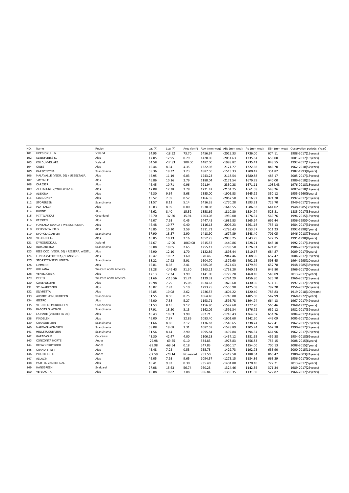| NO. | Name                                   | Region                | Lat $(°)$ | Log (°)   | Area (km <sup>2</sup> ) | Abw (mm weq) ABs (mm weq) |            | Aa (mm weg) | SBn (mm weg) | Observation periods (Year) |
|-----|----------------------------------------|-----------------------|-----------|-----------|-------------------------|---------------------------|------------|-------------|--------------|----------------------------|
| 101 | HOFSJOKULL N                           | Iceland               | 64.95     | $-18.92$  | 73.70                   | 1456.67                   | $-2015.33$ | 1736.00     | 674.11       | 1988-2017(15years)         |
| 102 | KLEINFLEISS K.                         | Alps                  | 47.05     | 12.95     | 0.79                    | 1420.06                   | $-2051.63$ | 1735.84     | 658.00       | 2001-2017(16years)         |
| 103 | KOLDUKVISLARJ.                         | Iceland               | 64.58     | $-17.83$  | 300.00                  | 1482.00                   | $-1988.82$ | 1735.41     | 848.55       | 1992-2017(17years)         |
| 104 | GRIES                                  | Alps                  | 46.44     | 8.34      | 4.35                    | 1322.98                   | $-2121.77$ | 1722.38     | 846.70       | 1962-2018(57years)         |
| 105 | KARSOJIETNA                            | Scandinavia           | 68.36     | 18.32     | 1.23                    | 1887.50                   | $-1513.33$ | 1700.42     | 351.82       | 1982-1993(8years)          |
| 106 | MALAVALLE (VEDR. DI) / UEBELTALF.      | Alps                  | 46.95     | 11.19     | 6.03                    | 1243.23                   | $-2118.54$ | 1680.88     | 485.17       | 2005-2017(13years)         |
| 107 | JAMTAL F.                              | Alps                  | 46.86     | 10.16     | 2.79                    | 1188.04                   | $-2171.54$ | 1679.79     | 640.00       | 1989-2018(26years)         |
| 108 | CARESER                                | Alps                  | 46.45     | 10.71     | 0.96                    | 991.94                    | $-2350.28$ | 1671.11     | 1084.43      | 1976-2018(18years)         |
| 109 | ZETTALUNITZ/MULLWITZ K.                | Alps                  | 47.08     | 12.38     | 2.78                    | 1221.42                   | $-2101.75$ | 1661.58     | 548.26       | 2007-2018(12years)         |
| 110 | ALBIGNA                                | Alps                  | 46.30     | 9.64      | 5.68                    | 1385.00                   | $-1906.83$ | 1645.92     | 350.12       | 1955-1960(6years)          |
| 111 | CIARDONEY                              | Alps                  | 45.52     | 7.39      | 0.57                    | 1166.35                   | $-2067.50$ | 1616.92     | 871.78       | 1992-2017(26years)         |
| 112 | <b>STORBREEN</b>                       | Scandinavia           | 61.57     | 8.13      | 5.14                    | 1416.35                   | $-1770.28$ | 1593.31     | 723.70       | 1949-2017(75years)         |
| 113 | PLATTALVA                              | Alps                  | 46.83     | 8.99      | 0.80                    | 1530.08                   | $-1643.55$ | 1586.82     | 644.02       | 1948-1985(38years)         |
| 114 | <b>RHONE</b>                           | Alps                  | 46.62     | 8.40      | 15.52                   | 1358.69                   | $-1810.80$ | 1584.74     | 525.81       | 1885-2017(35years)         |
| 115 | MITTIVAKKAT                            | Greenland             | 65.70     | $-37.80$  | 15.94                   | 1203.08                   | $-1950.00$ | 1576.54     | 569.76       | 1996-2015(13years)         |
| 116 | <b>KESSJEN</b>                         | Alps                  | 46.07     | 7.93      | 0.45                    | 1447.45                   | $-1682.83$ | 1565.14     | 692.44       | 1956-1995(40years)         |
| 117 | FONTANA BIANCA / WEISSBRUNNF.          | Alps                  | 46.48     | 10.77     | 0.40                    | 1116.13                   | $-2006.23$ | 1561.18     | 753.13       | 1984-2017(31years)         |
| 118 | OCHSENTALER G.                         | Alps                  | 46.85     | 10.10     | 2.59                    | 1311.71                   | $-1795.43$ | 1553.57     | 511.23       | 1992-1998(7years)          |
| 119 | STORGLACIAEREN                         | Scandinavia           | 67.90     | 18.57     | 2.90                    | 1418.90                   | $-1677.89$ | 1548.40     | 701.05       | 1946-2018(73years)         |
| 120 | VERMUNT G.                             | Alps                  | 46.85     | 10.13     | 2.16                    | 1052.25                   | $-2035.25$ | 1543.75     | 527.75       | 1991-1998(8years)          |
| 121 | DYNGJUJOKULL                           | Iceland               | 64.67     | $-17.00$  | 1060.00                 | 1615.57                   | $-1440.86$ | 1528.21     | 848.10       | 1992-2017(14years)         |
| 122 | RIUKOJIETNA                            | Scandinavia           | 68.08     | 18.05     | 2.65                    | 1255.12                   | $-1798.50$ | 1526.81     | 674.81       | 1986-2017(23years)         |
| 123 | RIES OCC. (VEDR. DI) / RIESERF. WESTL. | Alps                  | 46.90     | 12.10     | 1.70                    | 1122.89                   | $-1898.44$ | 1510.67     | 684.87       | 2009-2017(9years)          |
| 124 | LUNGA (VEDRETTA) / LANGENF.            | Alps                  | 46.47     | 10.62     | 1.60                    | 970.46                    | $-2047.46$ | 1508.96     | 657.47       | 2004-2017(13years)         |
| 125 | STORSTEINSFJELLBREEN                   | Scandinavia           | 68.22     | 17.92     | 5.91                    | 1604.70                   | $-1379.60$ | 1492.15     | 598.45       | 1964-1995(10years)         |
| 126 | LIMMERN                                | Alps                  | 46.81     | 8.98      | 2.41                    | 1385.08                   | $-1574.63$ | 1479.86     | 657.78       | 1948-1985(38years)         |
| 127 | <b>GULKANA</b>                         | Western north America | 63.28     | $-145.43$ | 31.30                   | 1163.22                   | $-1758.20$ | 1460.71     | 643.80       | 1966-2017(50years)         |
| 128 | VENEDIGER K.                           | Alps                  | 47.13     | 12.34     | 1.99                    | 1141.00                   | $-1779.20$ | 1460.10     | 548.09       | 2013-2017(5years)          |
| 129 | PEYTO                                  | Western north America | 51.66     | $-116.56$ | 11.74                   | 1129.32                   | $-1784.29$ | 1456.80     | 525.70       | 1966-2017(28years)         |
| 130 | CORBASSIERE                            | Alps                  | 45.98     | 7.29      | 15.08                   | 1034.63                   | $-1826.68$ | 1430.66     | 514.11       | 1997-2017(19years)         |
| 131 | SCHWARZBERG                            | Alps                  | 46.02     | 7.93      | 5.10                    | 1293.25                   | $-1556.90$ | 1425.08     | 797.20       | 1956-2017(60years)         |
| 132 | <b>SILVRETTA</b>                       | Alps                  | 46.85     | 10.08     | 2.62                    | 1236.57                   | $-1604.22$ | 1420.40     | 783.83       | 1919-2018(100years)        |
| 133 | AUSTRE MEMURUBREEN                     | Scandinavia           | 61.55     | 8.50      | 8.75                    | 1064.40                   | $-1746.80$ | 1405.60     | 547.99       | 1968-1972(5years)          |
| 134 | <b>GIETRO</b>                          | Alps                  | 46.00     | 7.38      | 5.27                    | 1193.71                   | $-1595.78$ | 1394.74     | 664.13       | 1967-2017(49years)         |
| 135 | <b>VESTRE MEMURUBREEN</b>              | Scandinavia           | 61.53     | 8.45      | 9.17                    | 1156.80                   | $-1597.60$ | 1377.20     | 565.46       | 1968-1972(5years)          |
| 136 | RABOTS GLACIAER                        | Scandinavia           | 67.91     | 18.50     | 3.13                    | 1162.09                   | $-1591.34$ | 1376.72     | 632.12       | 1982-2017(32years)         |
| 137 | LA MARE (VEDRETTA DE)                  | Alps                  | 46.43     | 10.63     | 1.99                    | 982.71                    | $-1745.43$ | 1364.07     | 654.26       | 2004-2017(14years)         |
| 138 | <b>FINDELEN</b>                        | Alps                  | 46.00     | 7.87      | 12.89                   | 1083.40                   | $-1601.60$ | 1342.50     | 443.09       | 2005-2017(10years)         |
| 139 | GRAASUBREEN                            | Scandinavia           | 61.66     | 8.60      | 2.12                    | 1136.83                   | $-1540.65$ | 1338.74     | 622.41       | 1962-2017(56years)         |
| 140 | MARMAGLACIAEREN                        | Scandinavia           | 68.08     | 18.68     | 3.31                    | 1082.59                   | $-1528.89$ | 1305.74     | 562.78       | 1990-2017(27years)         |
| 141 | <b>HELLSTUGUBREEN</b>                  | Scandinavia           | 61.56     | 8.44      | 2.90                    | 1095.84                   | $-1492.84$ | 1294.34     | 664.96       | 1962-2017(56years)         |
| 142 | GARABASHI                              | Caucasus              | 43.30     | 42.47     | 4.00                    | 1106.18                   | $-1457.12$ | 1281.65     | 459.58       | 1984-2018(62years)         |
| 143 | CONCONTA NORTE                         | Andes                 | $-29.98$  | $-69.65$  | 0.10                    | 534.83                    | $-1978.83$ | 1256.83     | 756.15       | 2008-2015(6years)          |
| 144 | <b>BROWN SUPERIOR</b>                  | Andes                 | $-29.98$  | $-69.64$  | 0.18                    | 547.83                    | $-1960.17$ | 1254.00     | 700.13       | 2008-2015(7years)          |
| 145 | <b>GRAND ETRET</b>                     | Alps                  | 45.48     | 7.22      | 0.53                    | 955.73                    | $-1429.73$ | 1192.73     | 635.90       | 2000-2015(11years)         |
| 146 | PILOTO ESTE                            | Andes                 | $-32.59$  | $-70.14$  | No record               | 957.50                    | $-1419.58$ | 1188.54     | 860.47       | 1980-2003(24years)         |
| 147 | ALLALIN                                | Alps                  | 46.05     | 7.93      | 9.65                    | 1094.57                   | $-1275.15$ | 1184.86     | 663.39       | 1956-2017(60years)         |
| 148 | MURTEL VADRET DAL                      | Alps                  | 46.41     | 9.82      | 0.30                    | 935.40                    | $-1404.80$ | 1170.10     | 722.71       | 2013-2017(5years)          |
| 149 | HANSBREEN                              | Svalbard              | 77.08     | 15.63     | 56.74                   | 960.23                    | $-1324.46$ | 1142.35     | 371.34       | 1989-2017(26years)         |
| 150 | VERNAGT F.                             | Alps                  | 46.88     | 10.82     | 7.08                    | 906.84                    | $-1356.35$ | 1131.60     | 522.87       | 1966-2017(51years)         |
|     |                                        |                       |           |           |                         |                           |            |             |              |                            |